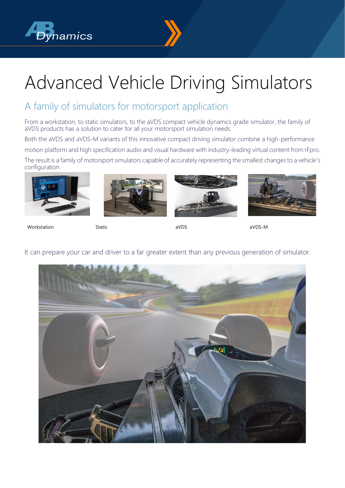



# Advanced Vehicle Driving Simulators

## A family of simulators for motorsport application

From a workstation, to static simulators, to the aVDS compact vehicle dynamics grade simulator, the family of aVDS products has a solution to cater for all your motorsport simulation needs.

Both the aVDS and aVDS-M variants of this innovative compact driving simulator combine a high-performance motion platform and high specification audio and visual hardware with industry-leading virtual content from rFpro. The result is a family of motorsport simulators capable of accurately representing the smallest changes to a vehicle's configuration.









Workstation Static aVDS aVDS-M



It can prepare your car and driver to a far greater extent than any previous generation of simulator.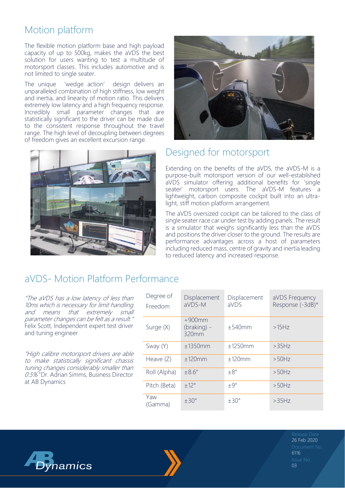## Motion platform

The flexible motion platform base and high payload capacity of up to 500kg, makes the aVDS the best solution for users wanting to test a multitude of motorsport classes. This includes automotive and is not limited to single seater.

The unique 'wedge action' design delivers an unparalleled combination of high stiffness, low weight and inertia, and linearity of motion ratio. This delivers extremely low latency and a high frequency response. Incredibly small parameter changes that are statistically significant to the driver can be made due to the consistent response throughout the travel range. The high level of decoupling between degrees of freedom gives an excellent excursion range.





## Designed for motorsport

Extending on the benefits of the aVDS, the aVDS-M is a purpose-built motorsport version of our well-established aVDS simulator offering additional benefits for 'single seater' motorsport users. The aVDS-M features a lightweight, carbon composite cockpit built into an ultralight, stiff motion platform arrangement.

The aVDS oversized cockpit can be tailored to the class of single seater race car under test by adding panels. The result is a simulator that weighs significantly less than the aVDS and positions the driver closer to the ground. The results are performance advantages across a host of parameters including reduced mass, centre of gravity and inertia leading to reduced latency and increased response.

## aVDS- Motion Platform Performance

"The aVDS has a low latency of less than 10ms which is necessary for limit handling and means that extremely small parameter changes can be felt as a result." Felix Scott, Independent expert test driver and tuning engineer

"High calibre motorsport drivers are able to make statistically significant chassis tuning changes considerably smaller than 0.5%" Dr. Adrian Simms, Business Director at AB Dynamics

| Degree of<br>Freedom | Displacement<br>aVDS-M            | Displacement<br>aVDS | aVDS Frequency<br>Response (-3dB)* |
|----------------------|-----------------------------------|----------------------|------------------------------------|
| Surge (X)            | $+900$ mm<br>(braking) -<br>320mm | ±540mm               | >15Hz                              |
| Sway (Y)             | ±1350mm                           | ±1250mm              | >35Hz                              |
| Heave $(Z)$          | ±120mm                            | ±120mm               | $>50$ Hz                           |
| Roll (Alpha)         | $\pm 8.6^\circ$                   | $\pm 8^{\circ}$      | $>50$ Hz                           |
| Pitch (Beta)         | ±12°                              | $\pm 9^{\circ}$      | $>50$ Hz                           |
| Yaw<br>(Gamma)       | $±30^{\circ}$                     | $±30^{\circ}$        | >35Hz                              |



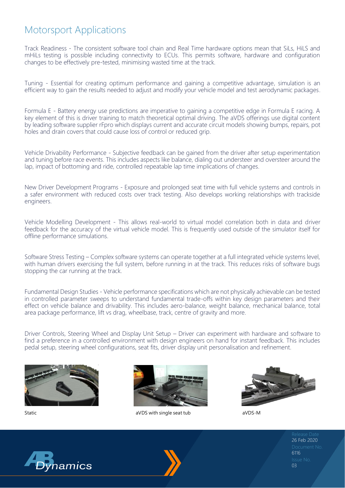## Motorsport Applications

Track Readiness - The consistent software tool chain and Real Time hardware options mean that SiLs, HiLS and mHiLs testing is possible including connectivity to ECUs. This permits software, hardware and configuration changes to be effectively pre-tested, minimising wasted time at the track.

Tuning - Essential for creating optimum performance and gaining a competitive advantage, simulation is an efficient way to gain the results needed to adjust and modify your vehicle model and test aerodynamic packages.

Formula E - Battery energy use predictions are imperative to gaining a competitive edge in Formula E racing. A key element of this is driver training to match theoretical optimal driving. The aVDS offerings use digital content by leading software supplier rFpro which displays current and accurate circuit models showing bumps, repairs, pot holes and drain covers that could cause loss of control or reduced grip.

Vehicle Drivability Performance - Subjective feedback can be gained from the driver after setup experimentation and tuning before race events. This includes aspects like balance, dialing out understeer and oversteer around the lap, impact of bottoming and ride, controlled repeatable lap time implications of changes.

New Driver Development Programs - Exposure and prolonged seat time with full vehicle systems and controls in a safer environment with reduced costs over track testing. Also develops working relationships with trackside engineers.

Vehicle Modelling Development - This allows real-world to virtual model correlation both in data and driver feedback for the accuracy of the virtual vehicle model. This is frequently used outside of the simulator itself for offline performance simulations.

Software Stress Testing – Complex software systems can operate together at a full integrated vehicle systems level, with human drivers exercising the full system, before running in at the track. This reduces risks of software bugs stopping the car running at the track.

Fundamental Design Studies - Vehicle performance specifications which are not physically achievable can be tested in controlled parameter sweeps to understand fundamental trade-offs within key design parameters and their effect on vehicle balance and drivability. This includes aero-balance, weight balance, mechanical balance, total area package performance, lift vs drag, wheelbase, track, centre of gravity and more.

Driver Controls, Steering Wheel and Display Unit Setup – Driver can experiment with hardware and software to find a preference in a controlled environment with design engineers on hand for instant feedback. This includes pedal setup, steering wheel configurations, seat fits, driver display unit personalisation and refinement.





Static aVDS with single seat tub aVDS-M